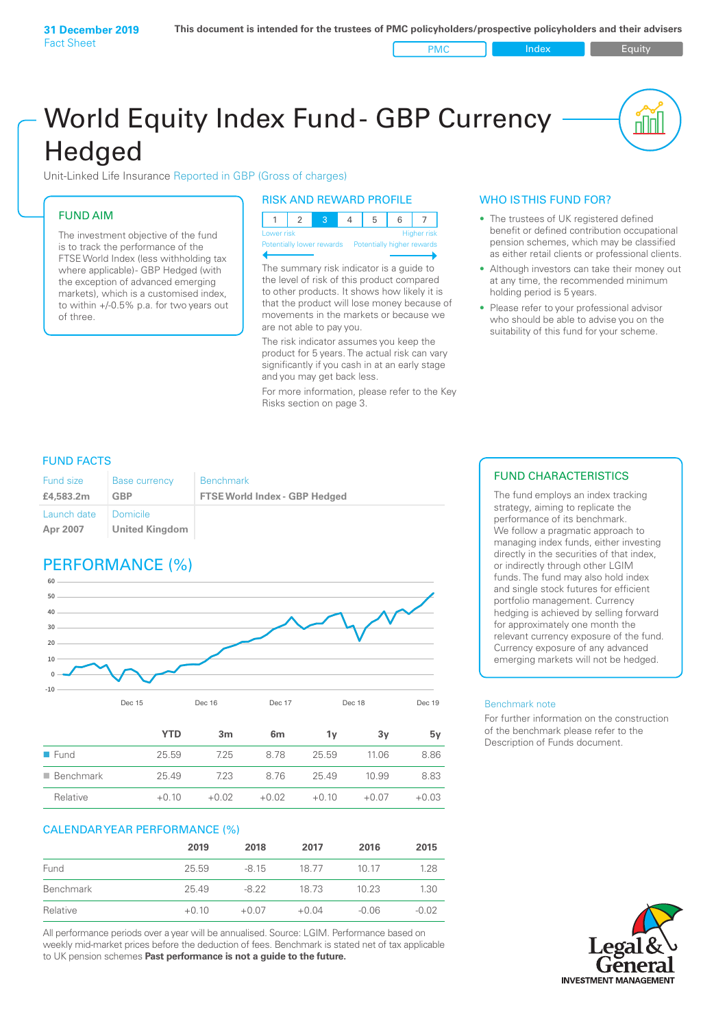PMC Index PMC Equity

# World Equity Index Fund- GBP Currency **Hedged**

Unit-Linked Life Insurance Reported in GBP (Gross of charges)

# FUND AIM

The investment objective of the fund is to track the performance of the FTSE World Index (less withholding tax where applicable) - GBP Hedged (with the exception of advanced emerging markets), which is a customised index, to within +/‑0.5% p.a. for two years out of three.

# RISK AND REWARD PROFILE

| Lower risk |  |  | <b>Higher risk</b> |
|------------|--|--|--------------------|

ntially lower rewards

The summary risk indicator is a guide to the level of risk of this product compared to other products. It shows how likely it is that the product will lose money because of movements in the markets or because we are not able to pay you.

The risk indicator assumes you keep the product for 5 years. The actual risk can vary significantly if you cash in at an early stage and you may get back less.

For more information, please refer to the Key Risks section on page 3.

# WHO IS THIS FUND FOR?

- The trustees of UK registered defined benefit or defined contribution occupational pension schemes, which may be classified as either retail clients or professional clients.
- Although investors can take their money out at any time, the recommended minimum holding period is 5 years.
- Please refer to your professional advisor who should be able to advise you on the suitability of this fund for your scheme.

# FUND FACTS

| <b>Fund size</b>        | <b>Base currency</b>       | <b>Benchmark</b>                     |
|-------------------------|----------------------------|--------------------------------------|
| £4,583,2m               | GBP                        | <b>FTSE World Index - GBP Hedged</b> |
| Launch date<br>Apr 2007 | Domicile<br>United Kingdom |                                      |

# PERFORMANCE (%)



|                          | <b>YTD</b> | 3m      | 6 <sub>m</sub> | ٦v      | 3v      | 5۷      |
|--------------------------|------------|---------|----------------|---------|---------|---------|
| $\blacksquare$ Fund      | 25.59      | 7.25    | 8.78           | 25.59   | 11.06   | 8.86    |
| $\blacksquare$ Benchmark | 25.49      | 7.23    | 8.76           | 25.49   | 10.99   | 8.83    |
| Relative                 | $+0.10$    | $+0.02$ | $+0.02$        | $+0.10$ | $+0.07$ | $+0.03$ |

# CALENDAR YEAR PERFORMANCE (%)

|           | 2019    | 2018    | 2017    | 2016    | 2015    |
|-----------|---------|---------|---------|---------|---------|
| Fund      | 25.59   | $-8.15$ | 18.77   | 10 17   | 1.28    |
| Benchmark | 25.49   | -8.22   | 18 73   | 10.23   | 1.30    |
| Relative  | $+0.10$ | $+0.07$ | $+0.04$ | $-0.06$ | $-0.02$ |

All performance periods over a year will be annualised. Source: LGIM. Performance based on weekly mid-market prices before the deduction of fees. Benchmark is stated net of tax applicable to UK pension schemes **Past performance is not a guide to the future.**

# FUND CHARACTERISTICS

The fund employs an index tracking strategy, aiming to replicate the performance of its benchmark. We follow a pragmatic approach to managing index funds, either investing directly in the securities of that index, or indirectly through other LGIM funds. The fund may also hold index and single stock futures for efficient portfolio management. Currency hedging is achieved by selling forward for approximately one month the relevant currency exposure of the fund. Currency exposure of any advanced emerging markets will not be hedged.

#### Benchmark note

For further information on the construction of the benchmark please refer to the Description of Funds document.

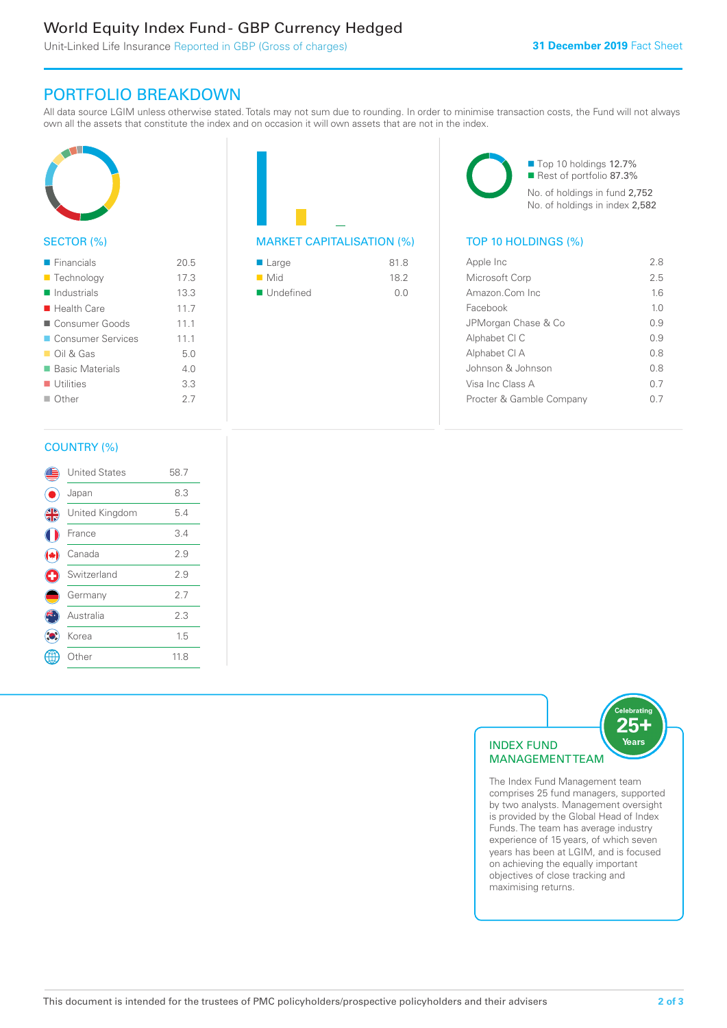# World Equity Index Fund - GBP Currency Hedged

Unit-Linked Life Insurance Reported in GBP (Gross of charges)

# PORTFOLIO BREAKDOWN

All data source LGIM unless otherwise stated. Totals may not sum due to rounding. In order to minimise transaction costs, the Fund will not always own all the assets that constitute the index and on occasion it will own assets that are not in the index.



# SECTOR (%)

| $\blacksquare$ Financials  | 20.5 |
|----------------------------|------|
| <b>Technology</b>          | 17.3 |
| Industrials                | 13.3 |
| $\blacksquare$ Health Care | 11.7 |
| Consumer Goods             | 11.1 |
| ■ Consumer Services        | 111  |
| $\Box$ Oil & Gas           | 5.0  |
| <b>Basic Materials</b>     | 4 N  |
| $\blacksquare$ Utilities   | 3.3  |
| $\Box$ Other               | 27   |
|                            |      |



# MARKET CAPITALISATION (%) TOP 10 HOLDINGS (%)

| $\blacksquare$ Large     | 81.8 |
|--------------------------|------|
| $\blacksquare$ Mid       | 182  |
| $\blacksquare$ Undefined | 0.0  |

■ Top 10 holdings 12.7% Rest of portfolio 87.3% No. of holdings in fund 2,752 No. of holdings in index 2,582

| Apple Inc                | 28             |
|--------------------------|----------------|
| Microsoft Corp           | 25             |
| Amazon.Com Inc           | 16             |
| Facebook                 | 1 <sub>0</sub> |
| JPMorgan Chase & Co      | 0.9            |
| Alphabet CI C            | 09             |
| Alphabet CI A            | 0.8            |
| Johnson & Johnson        | 0 S            |
| Visa Inc Class A         | 0.7            |
| Procter & Gamble Company |                |
|                          |                |

# COUNTRY (%)

|   | <b>United States</b> | 58.7 |  |
|---|----------------------|------|--|
|   | Japan                | 8.3  |  |
| 4 | United Kingdom       | 5.4  |  |
|   | France               | 3.4  |  |
|   | Canada               | 2.9  |  |
| Œ | Switzerland          | 2.9  |  |
|   | Germany              | 2.7  |  |
|   | Australia            | 2.3  |  |
|   | Korea                | 1.5  |  |
|   | Other                | 11.8 |  |
|   |                      |      |  |



comprises 25 fund managers, supported by two analysts. Management oversight is provided by the Global Head of Index Funds. The team has average industry experience of 15 years, of which seven years has been at LGIM, and is focused on achieving the equally important objectives of close tracking and maximising returns.